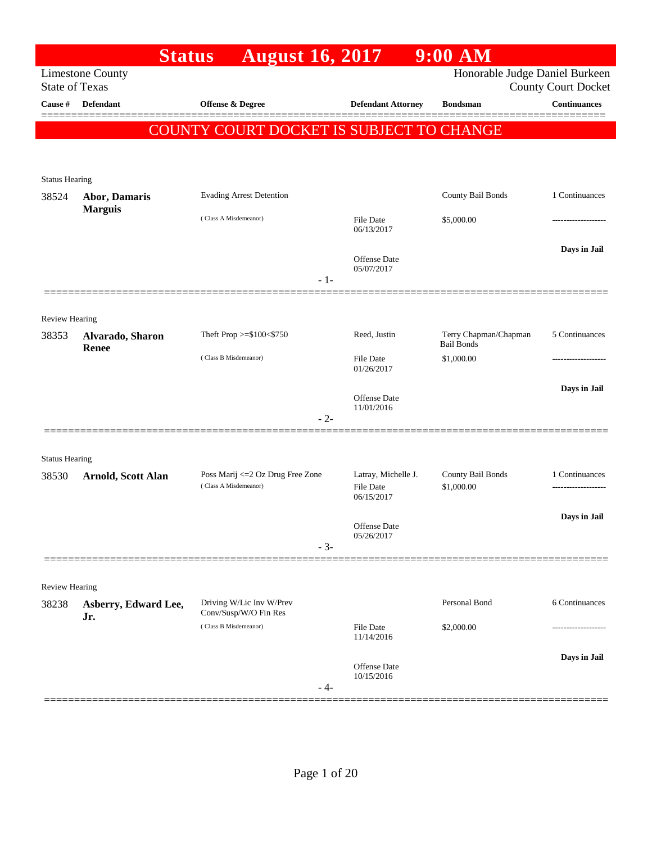|                       |                                  | <b>Status</b><br><b>August 16, 2017</b>                    |       |                                                       | 9:00 AM                                    |                            |
|-----------------------|----------------------------------|------------------------------------------------------------|-------|-------------------------------------------------------|--------------------------------------------|----------------------------|
| <b>State of Texas</b> | <b>Limestone County</b>          |                                                            |       |                                                       | Honorable Judge Daniel Burkeen             | <b>County Court Docket</b> |
| Cause #               | <b>Defendant</b>                 | Offense & Degree                                           |       | <b>Defendant Attorney</b>                             | <b>Bondsman</b>                            | <b>Continuances</b>        |
|                       |                                  | COUNTY COURT DOCKET IS SUBJECT TO CHANGE                   |       |                                                       |                                            |                            |
|                       |                                  |                                                            |       |                                                       |                                            |                            |
| <b>Status Hearing</b> |                                  |                                                            |       |                                                       |                                            |                            |
| 38524                 | Abor, Damaris                    | <b>Evading Arrest Detention</b>                            |       |                                                       | County Bail Bonds                          | 1 Continuances             |
|                       | <b>Marguis</b>                   | (Class A Misdemeanor)                                      |       | File Date<br>06/13/2017                               | \$5,000.00                                 |                            |
|                       |                                  |                                                            |       | <b>Offense Date</b><br>05/07/2017                     |                                            | Days in Jail               |
|                       |                                  |                                                            | $-1-$ |                                                       |                                            |                            |
| <b>Review Hearing</b> |                                  |                                                            |       |                                                       |                                            |                            |
| 38353                 | Alvarado, Sharon<br><b>Renee</b> | Theft Prop >=\$100<\$750                                   |       | Reed, Justin                                          | Terry Chapman/Chapman<br><b>Bail Bonds</b> | 5 Continuances             |
|                       |                                  | (Class B Misdemeanor)                                      |       | <b>File Date</b><br>01/26/2017                        | \$1,000.00                                 |                            |
|                       |                                  |                                                            |       | Offense Date                                          |                                            | Days in Jail               |
|                       |                                  |                                                            | $-2-$ | 11/01/2016                                            |                                            |                            |
|                       |                                  |                                                            |       |                                                       |                                            |                            |
| <b>Status Hearing</b> |                                  |                                                            |       |                                                       |                                            |                            |
| 38530                 | Arnold, Scott Alan               | Poss Marij <= 2 Oz Drug Free Zone<br>(Class A Misdemeanor) |       | Latray, Michelle J.<br><b>File Date</b><br>06/15/2017 | County Bail Bonds<br>\$1,000.00            | 1 Continuances             |
|                       |                                  |                                                            |       | Offense Date                                          |                                            | Days in Jail               |
|                       |                                  |                                                            | $-3-$ | 05/26/2017                                            |                                            |                            |
|                       |                                  |                                                            |       |                                                       |                                            |                            |
| <b>Review Hearing</b> |                                  |                                                            |       |                                                       |                                            |                            |
| 38238                 | Asberry, Edward Lee,<br>Jr.      | Driving W/Lic Inv W/Prev<br>Conv/Susp/W/O Fin Res          |       |                                                       | Personal Bond                              | 6 Continuances             |
|                       |                                  | (Class B Misdemeanor)                                      |       | File Date<br>11/14/2016                               | \$2,000.00                                 |                            |
|                       |                                  |                                                            |       | Offense Date                                          |                                            | Days in Jail               |
|                       |                                  |                                                            | - 4-  | 10/15/2016                                            |                                            |                            |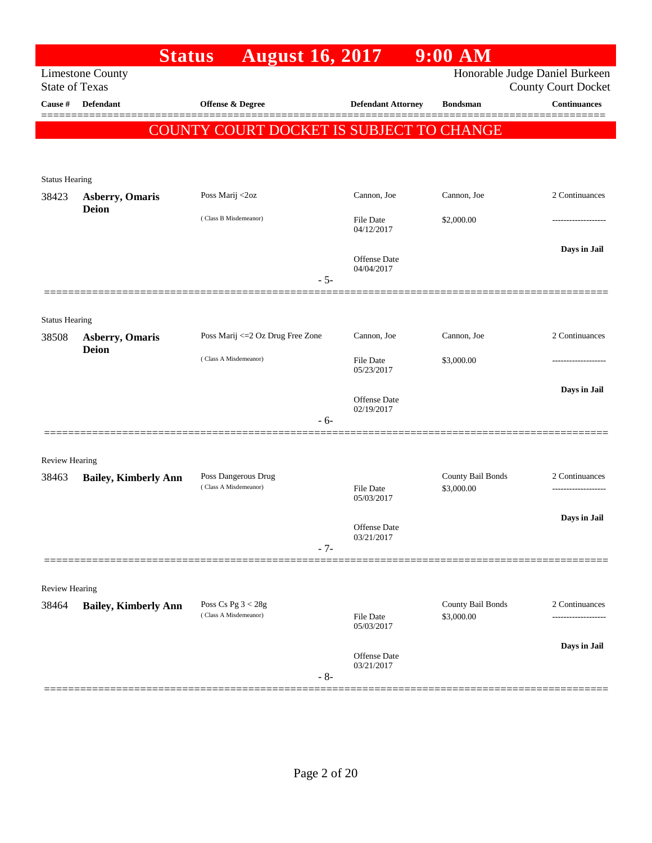|                                |                                        | <b>August 16, 2017</b><br><b>Status</b>  |                                            | $9:00$ AM         |                                                              |
|--------------------------------|----------------------------------------|------------------------------------------|--------------------------------------------|-------------------|--------------------------------------------------------------|
| <b>State of Texas</b>          | <b>Limestone County</b>                |                                          |                                            |                   | Honorable Judge Daniel Burkeen<br><b>County Court Docket</b> |
| Cause #                        | <b>Defendant</b>                       | <b>Offense &amp; Degree</b>              | <b>Defendant Attorney</b>                  | <b>Bondsman</b>   | <b>Continuances</b>                                          |
|                                |                                        | COUNTY COURT DOCKET IS SUBJECT TO CHANGE |                                            |                   |                                                              |
|                                |                                        |                                          |                                            |                   |                                                              |
| <b>Status Hearing</b>          |                                        |                                          |                                            |                   |                                                              |
| 38423                          | <b>Asberry, Omaris</b><br><b>Deion</b> | Poss Marij <2oz                          | Cannon, Joe                                | Cannon, Joe       | 2 Continuances                                               |
|                                |                                        | (Class B Misdemeanor)                    | <b>File Date</b><br>04/12/2017             | \$2,000.00        |                                                              |
|                                |                                        |                                          | <b>Offense Date</b><br>04/04/2017<br>$-5-$ |                   | Days in Jail                                                 |
|                                |                                        |                                          |                                            |                   |                                                              |
| <b>Status Hearing</b>          |                                        |                                          |                                            |                   |                                                              |
| 38508                          | <b>Asberry, Omaris</b><br><b>Deion</b> | Poss Marij <= 2 Oz Drug Free Zone        | Cannon, Joe                                | Cannon, Joe       | 2 Continuances                                               |
|                                |                                        | (Class A Misdemeanor)                    | <b>File Date</b><br>05/23/2017             | \$3,000.00        | ----------------                                             |
|                                |                                        |                                          | <b>Offense</b> Date<br>02/19/2017          |                   | Days in Jail                                                 |
|                                |                                        |                                          | - 6-                                       |                   |                                                              |
|                                |                                        |                                          |                                            |                   |                                                              |
| <b>Review Hearing</b><br>38463 | <b>Bailey, Kimberly Ann</b>            | Poss Dangerous Drug                      |                                            | County Bail Bonds | 2 Continuances                                               |
|                                |                                        | (Class A Misdemeanor)                    | File Date<br>05/03/2017                    | \$3,000.00        |                                                              |
|                                |                                        |                                          | Offense Date                               |                   | Days in Jail                                                 |
|                                |                                        |                                          | 03/21/2017<br>$-7-$                        |                   |                                                              |
| Review Hearing                 |                                        |                                          |                                            |                   |                                                              |
| 38464                          | <b>Bailey, Kimberly Ann</b>            | Poss Cs Pg $3 < 28g$                     |                                            | County Bail Bonds | 2 Continuances                                               |
|                                |                                        | (Class A Misdemeanor)                    | <b>File Date</b><br>05/03/2017             | \$3,000.00        |                                                              |
|                                |                                        |                                          | Offense Date<br>03/21/2017<br>$-8-$        |                   | Days in Jail                                                 |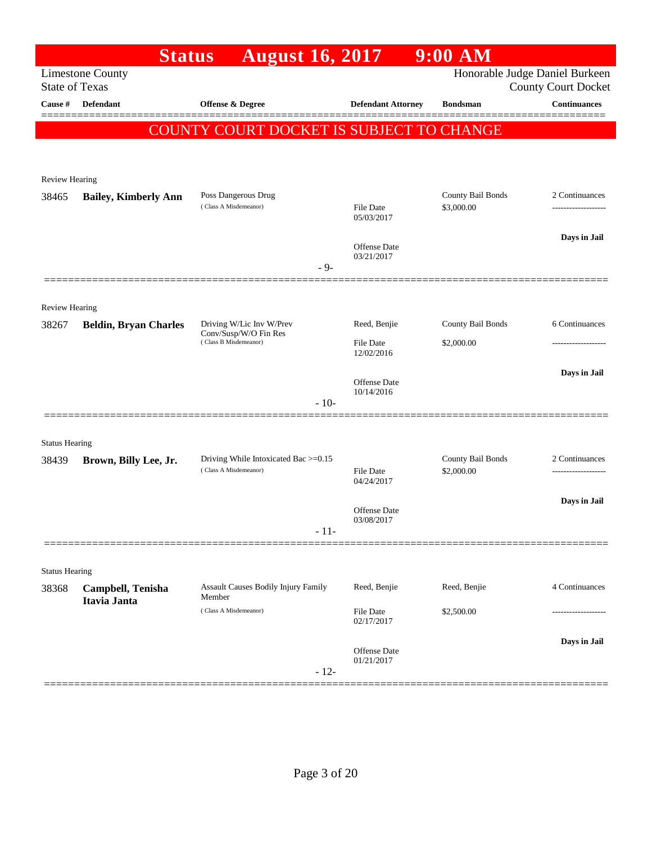|                       | <b>Status</b>                     | <b>August 16, 2017</b>                                        |                                | $9:00$ $\overline{\text{AM}}$ |                                                              |
|-----------------------|-----------------------------------|---------------------------------------------------------------|--------------------------------|-------------------------------|--------------------------------------------------------------|
| <b>State of Texas</b> | <b>Limestone County</b>           |                                                               |                                |                               | Honorable Judge Daniel Burkeen<br><b>County Court Docket</b> |
| Cause #               | <b>Defendant</b>                  | <b>Offense &amp; Degree</b>                                   | <b>Defendant Attorney</b>      | <b>Bondsman</b>               | <b>Continuances</b>                                          |
|                       |                                   | COUNTY COURT DOCKET IS SUBJECT TO CHANGE                      |                                |                               |                                                              |
|                       |                                   |                                                               |                                |                               |                                                              |
| Review Hearing        |                                   |                                                               |                                |                               |                                                              |
| 38465                 | <b>Bailey, Kimberly Ann</b>       | Poss Dangerous Drug<br>(Class A Misdemeanor)                  |                                | County Bail Bonds             | 2 Continuances                                               |
|                       |                                   |                                                               | <b>File Date</b><br>05/03/2017 | \$3,000.00                    |                                                              |
|                       |                                   |                                                               | Offense Date                   |                               | Days in Jail                                                 |
|                       |                                   | $-9-$                                                         | 03/21/2017                     |                               |                                                              |
|                       |                                   |                                                               |                                |                               |                                                              |
| <b>Review Hearing</b> |                                   |                                                               |                                |                               |                                                              |
| 38267                 | <b>Beldin, Bryan Charles</b>      | Driving W/Lic Inv W/Prev<br>Conv/Susp/W/O Fin Res             | Reed, Benjie                   | County Bail Bonds             | 6 Continuances                                               |
|                       |                                   | (Class B Misdemeanor)                                         | <b>File Date</b><br>12/02/2016 | \$2,000.00                    |                                                              |
|                       |                                   |                                                               |                                |                               | Days in Jail                                                 |
|                       |                                   | $-10-$                                                        | Offense Date<br>10/14/2016     |                               |                                                              |
|                       |                                   |                                                               |                                |                               |                                                              |
| <b>Status Hearing</b> |                                   |                                                               |                                |                               |                                                              |
| 38439                 | Brown, Billy Lee, Jr.             | Driving While Intoxicated Bac >=0.15<br>(Class A Misdemeanor) |                                | County Bail Bonds             | 2 Continuances                                               |
|                       |                                   |                                                               | <b>File Date</b><br>04/24/2017 | \$2,000.00                    | -----------------                                            |
|                       |                                   |                                                               | Offense Date                   |                               | Days in Jail                                                 |
|                       |                                   | $-11-$                                                        | 03/08/2017                     |                               |                                                              |
|                       |                                   |                                                               |                                |                               |                                                              |
| <b>Status Hearing</b> |                                   |                                                               |                                |                               |                                                              |
| 38368                 | Campbell, Tenisha<br>Itavia Janta | Assault Causes Bodily Injury Family<br>Member                 | Reed, Benjie                   | Reed, Benjie                  | 4 Continuances                                               |
|                       |                                   | (Class A Misdemeanor)                                         | File Date<br>02/17/2017        | \$2,500.00                    |                                                              |
|                       |                                   |                                                               |                                |                               | Days in Jail                                                 |
|                       |                                   |                                                               | Offense Date<br>01/21/2017     |                               |                                                              |
|                       |                                   | $-12-$                                                        |                                |                               |                                                              |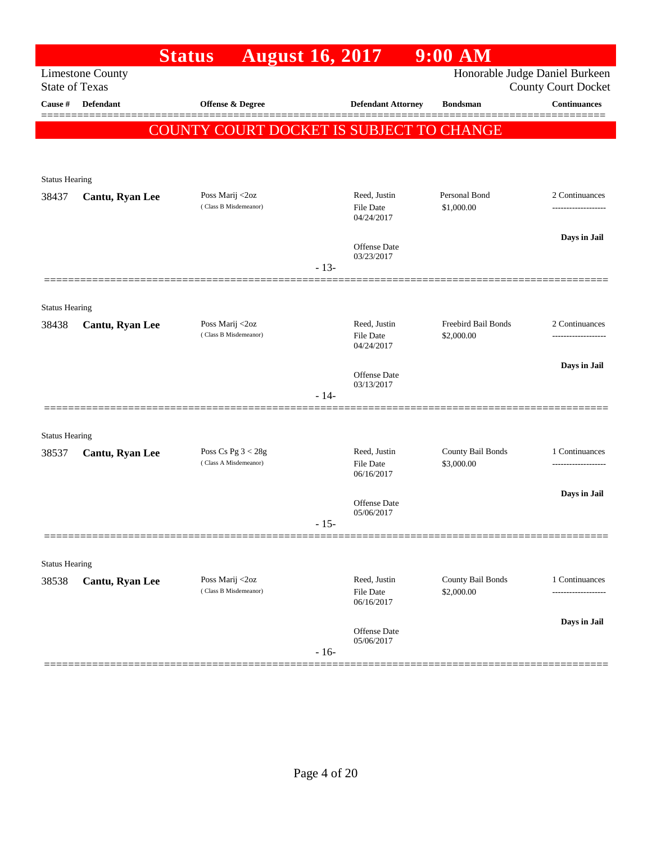|                       |                         | <b>Status</b>                                   | <b>August 16, 2017</b>                  |                                                | 9:00 AM                         |                                                              |
|-----------------------|-------------------------|-------------------------------------------------|-----------------------------------------|------------------------------------------------|---------------------------------|--------------------------------------------------------------|
| <b>State of Texas</b> | <b>Limestone County</b> |                                                 |                                         |                                                |                                 | Honorable Judge Daniel Burkeen<br><b>County Court Docket</b> |
| Cause #               | <b>Defendant</b>        | Offense & Degree                                |                                         | <b>Defendant Attorney</b>                      | <b>Bondsman</b>                 | <b>Continuances</b>                                          |
|                       |                         | <b>COUNTY COURT DOCKET IS SUBJECT TO CHANGE</b> |                                         |                                                |                                 |                                                              |
|                       |                         |                                                 |                                         |                                                |                                 |                                                              |
| <b>Status Hearing</b> |                         |                                                 |                                         |                                                |                                 |                                                              |
| 38437                 | Cantu, Ryan Lee         | Poss Marij <2oz<br>(Class B Misdemeanor)        |                                         | Reed, Justin<br>File Date<br>04/24/2017        | Personal Bond<br>\$1,000.00     | 2 Continuances                                               |
|                       |                         |                                                 |                                         | Offense Date<br>03/23/2017                     |                                 | Days in Jail                                                 |
|                       |                         |                                                 | $-13-$                                  |                                                |                                 |                                                              |
| <b>Status Hearing</b> |                         |                                                 |                                         |                                                |                                 |                                                              |
| 38438                 | Cantu, Ryan Lee         | Poss Marij <2oz<br>(Class B Misdemeanor)        | Reed, Justin<br>File Date<br>04/24/2017 | Freebird Bail Bonds<br>\$2,000.00              | 2 Continuances                  |                                                              |
|                       |                         |                                                 |                                         | Offense Date<br>03/13/2017                     |                                 | Days in Jail                                                 |
|                       |                         |                                                 | $-14-$                                  |                                                |                                 |                                                              |
| <b>Status Hearing</b> |                         |                                                 |                                         |                                                |                                 |                                                              |
| 38537                 | Cantu, Ryan Lee         | Poss Cs Pg $3 < 28g$<br>(Class A Misdemeanor)   |                                         | Reed, Justin<br>File Date<br>06/16/2017        | County Bail Bonds<br>\$3,000.00 | 1 Continuances                                               |
|                       |                         |                                                 |                                         | Offense Date<br>05/06/2017                     |                                 | Days in Jail                                                 |
|                       |                         |                                                 | $-15-$                                  |                                                |                                 |                                                              |
| <b>Status Hearing</b> |                         |                                                 |                                         |                                                |                                 |                                                              |
| 38538                 | Cantu, Ryan Lee         | Poss Marij <2oz<br>(Class B Misdemeanor)        |                                         | Reed, Justin<br><b>File Date</b><br>06/16/2017 | County Bail Bonds<br>\$2,000.00 | 1 Continuances                                               |
|                       |                         |                                                 | $-16-$                                  | Offense Date<br>05/06/2017                     |                                 | Days in Jail                                                 |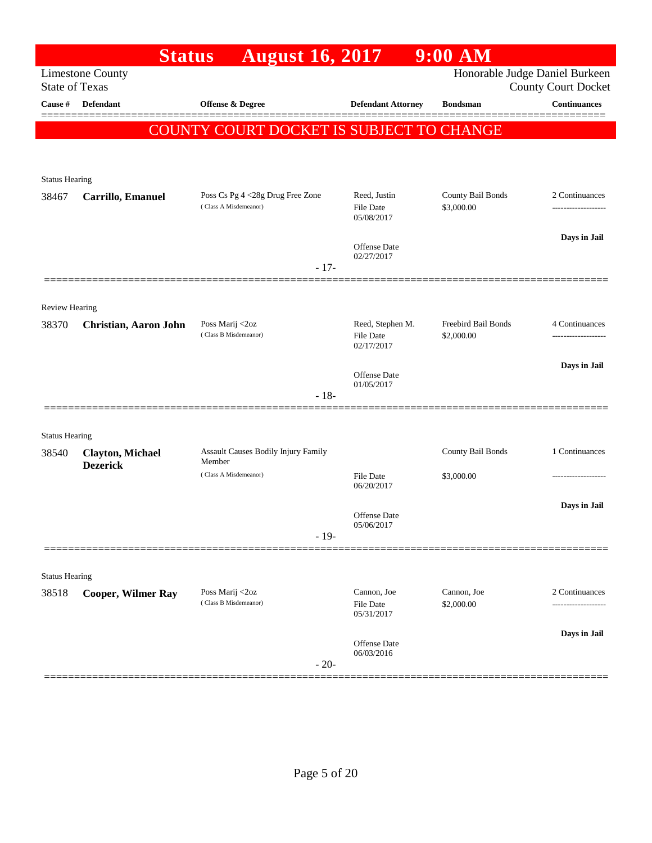|                                | <b>Status</b>                              | <b>August 16, 2017</b>                                    |                                  | 9:00 AM                         |                                                              |
|--------------------------------|--------------------------------------------|-----------------------------------------------------------|----------------------------------|---------------------------------|--------------------------------------------------------------|
| <b>State of Texas</b>          | <b>Limestone County</b>                    |                                                           |                                  |                                 | Honorable Judge Daniel Burkeen<br><b>County Court Docket</b> |
| Cause #                        | Defendant                                  | Offense & Degree                                          | <b>Defendant Attorney</b>        | <b>Bondsman</b>                 | <b>Continuances</b>                                          |
|                                |                                            |                                                           |                                  |                                 |                                                              |
|                                |                                            | COUNTY COURT DOCKET IS SUBJECT TO CHANGE                  |                                  |                                 |                                                              |
|                                |                                            |                                                           |                                  |                                 |                                                              |
| <b>Status Hearing</b>          |                                            |                                                           |                                  |                                 |                                                              |
| 38467                          | Carrillo, Emanuel                          | Poss Cs Pg 4 <28g Drug Free Zone<br>(Class A Misdemeanor) | Reed, Justin<br><b>File Date</b> | County Bail Bonds<br>\$3,000.00 | 2 Continuances                                               |
|                                |                                            |                                                           | 05/08/2017                       |                                 |                                                              |
|                                |                                            |                                                           | Offense Date<br>02/27/2017       |                                 | Days in Jail                                                 |
|                                |                                            | $-17-$                                                    |                                  |                                 |                                                              |
| <b>Review Hearing</b>          |                                            |                                                           |                                  |                                 |                                                              |
| 38370                          | Christian, Aaron John                      | Poss Marij <2oz                                           | Reed, Stephen M.                 | Freebird Bail Bonds             | 4 Continuances                                               |
|                                |                                            | (Class B Misdemeanor)                                     | <b>File Date</b><br>02/17/2017   | \$2,000.00                      |                                                              |
|                                |                                            |                                                           | Offense Date                     |                                 | Days in Jail                                                 |
|                                |                                            | $-18-$                                                    | 01/05/2017                       |                                 |                                                              |
|                                |                                            |                                                           |                                  |                                 |                                                              |
| <b>Status Hearing</b>          |                                            |                                                           |                                  |                                 |                                                              |
| 38540                          | <b>Clayton, Michael</b><br><b>Dezerick</b> | Assault Causes Bodily Injury Family<br>Member             |                                  | County Bail Bonds               | 1 Continuances                                               |
|                                |                                            | (Class A Misdemeanor)                                     | <b>File Date</b><br>06/20/2017   | \$3,000.00                      |                                                              |
|                                |                                            |                                                           |                                  |                                 | Days in Jail                                                 |
|                                |                                            |                                                           | Offense Date<br>05/06/2017       |                                 |                                                              |
|                                |                                            | $-19-$                                                    |                                  |                                 |                                                              |
|                                |                                            |                                                           |                                  |                                 |                                                              |
| <b>Status Hearing</b><br>38518 | <b>Cooper, Wilmer Ray</b>                  | Poss Marij <2oz                                           | Cannon, Joe                      | Cannon, Joe                     | 2 Continuances                                               |
|                                |                                            | (Class B Misdemeanor)                                     | <b>File Date</b><br>05/31/2017   | \$2,000.00                      |                                                              |
|                                |                                            |                                                           | Offense Date                     |                                 | Days in Jail                                                 |
|                                |                                            | $-20-$                                                    | 06/03/2016                       |                                 |                                                              |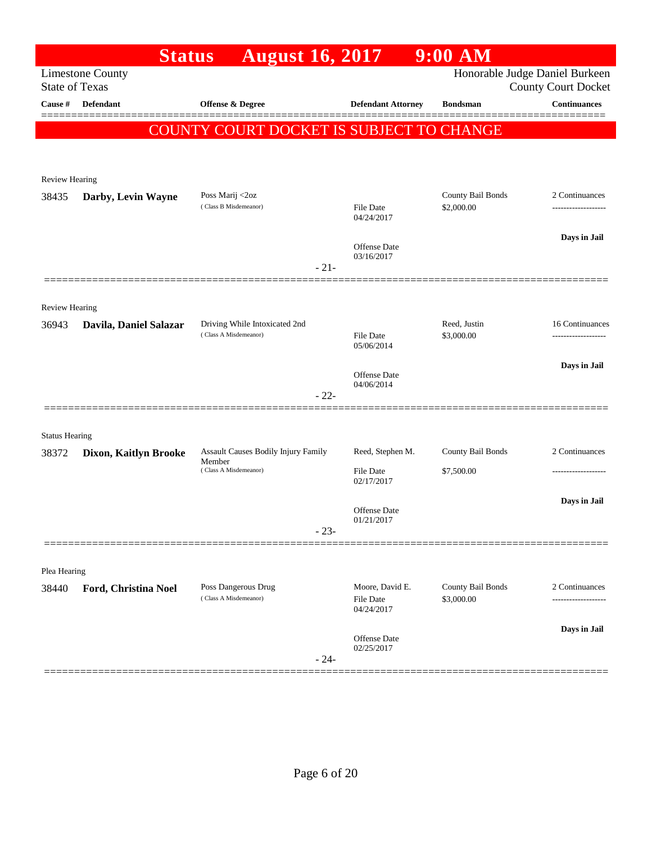|                         | <b>Status</b>           | <b>August 16, 2017</b>                        |                                     | $9:00$ AM                       |                                                   |
|-------------------------|-------------------------|-----------------------------------------------|-------------------------------------|---------------------------------|---------------------------------------------------|
| <b>State of Texas</b>   | <b>Limestone County</b> |                                               |                                     |                                 | Honorable Judge Daniel Burkeen                    |
| Cause #                 | Defendant               | <b>Offense &amp; Degree</b>                   | <b>Defendant Attorney</b>           | <b>Bondsman</b>                 | <b>County Court Docket</b><br><b>Continuances</b> |
|                         |                         |                                               |                                     |                                 |                                                   |
|                         |                         | COUNTY COURT DOCKET IS SUBJECT TO CHANGE      |                                     |                                 |                                                   |
|                         |                         |                                               |                                     |                                 |                                                   |
| Review Hearing          |                         |                                               |                                     |                                 |                                                   |
| 38435                   | Darby, Levin Wayne      | Poss Marij <2oz                               |                                     | County Bail Bonds               | 2 Continuances                                    |
|                         |                         | (Class B Misdemeanor)                         | <b>File Date</b><br>04/24/2017      | \$2,000.00                      |                                                   |
|                         |                         |                                               |                                     |                                 | Days in Jail                                      |
|                         |                         |                                               | Offense Date<br>03/16/2017          |                                 |                                                   |
|                         |                         | $-21-$                                        |                                     |                                 |                                                   |
|                         |                         |                                               |                                     |                                 |                                                   |
| Review Hearing<br>36943 |                         | Driving While Intoxicated 2nd                 |                                     | Reed, Justin                    | 16 Continuances                                   |
|                         | Davila, Daniel Salazar  | (Class A Misdemeanor)                         | <b>File Date</b>                    | \$3,000.00                      | .                                                 |
|                         |                         |                                               | 05/06/2014                          |                                 |                                                   |
|                         |                         |                                               | Offense Date                        |                                 | Days in Jail                                      |
|                         |                         | $-22-$                                        | 04/06/2014                          |                                 |                                                   |
|                         |                         |                                               |                                     |                                 |                                                   |
| <b>Status Hearing</b>   |                         |                                               |                                     |                                 |                                                   |
| 38372                   | Dixon, Kaitlyn Brooke   | Assault Causes Bodily Injury Family<br>Member | Reed, Stephen M.                    | County Bail Bonds               | 2 Continuances                                    |
|                         |                         | (Class A Misdemeanor)                         | <b>File Date</b><br>02/17/2017      | \$7,500.00                      |                                                   |
|                         |                         |                                               |                                     |                                 | Days in Jail                                      |
|                         |                         |                                               | Offense Date<br>01/21/2017          |                                 |                                                   |
|                         |                         | $-23-$                                        |                                     |                                 |                                                   |
|                         |                         |                                               |                                     |                                 |                                                   |
| Plea Hearing            |                         |                                               |                                     |                                 |                                                   |
| 38440                   | Ford, Christina Noel    | Poss Dangerous Drug<br>(Class A Misdemeanor)  | Moore, David E.<br><b>File Date</b> | County Bail Bonds<br>\$3,000.00 | 2 Continuances<br>.                               |
|                         |                         |                                               | 04/24/2017                          |                                 |                                                   |
|                         |                         |                                               | Offense Date                        |                                 | Days in Jail                                      |
|                         |                         | $-24-$                                        | 02/25/2017                          |                                 |                                                   |
|                         |                         |                                               |                                     |                                 |                                                   |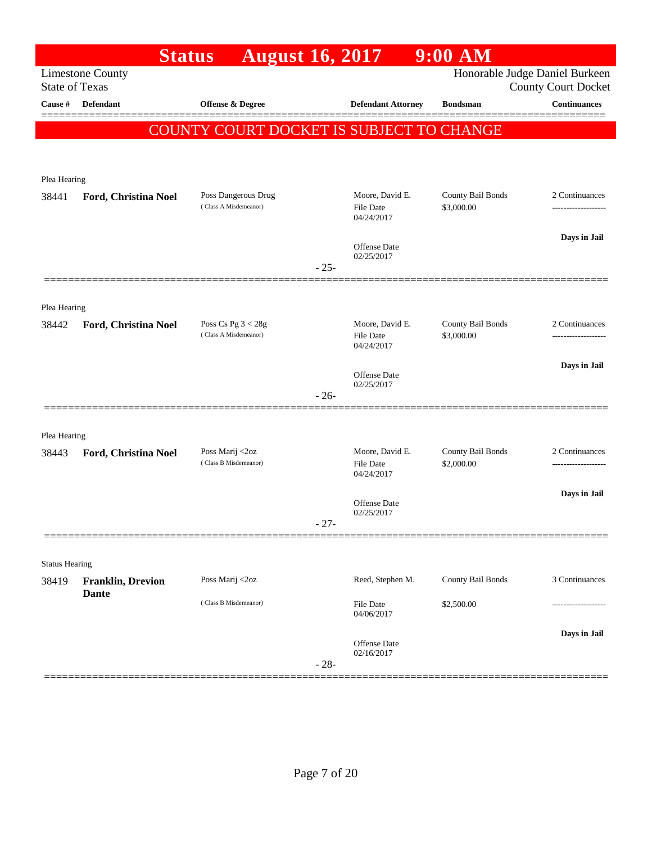|                       | <b>Status</b>            | <b>August 16, 2017</b>                          |        |                                                   | 9:00 AM                         |                                                              |
|-----------------------|--------------------------|-------------------------------------------------|--------|---------------------------------------------------|---------------------------------|--------------------------------------------------------------|
| <b>State of Texas</b> | <b>Limestone County</b>  |                                                 |        |                                                   |                                 | Honorable Judge Daniel Burkeen<br><b>County Court Docket</b> |
| Cause #               | <b>Defendant</b>         | Offense & Degree                                |        | <b>Defendant Attorney</b>                         | <b>Bondsman</b>                 | <b>Continuances</b>                                          |
|                       |                          |                                                 |        |                                                   |                                 |                                                              |
|                       |                          | <b>COUNTY COURT DOCKET IS SUBJECT TO CHANGE</b> |        |                                                   |                                 |                                                              |
|                       |                          |                                                 |        |                                                   |                                 |                                                              |
| Plea Hearing          |                          |                                                 |        |                                                   |                                 |                                                              |
| 38441                 | Ford, Christina Noel     | Poss Dangerous Drug<br>(Class A Misdemeanor)    |        | Moore, David E.<br><b>File Date</b><br>04/24/2017 | County Bail Bonds<br>\$3,000.00 | 2 Continuances                                               |
|                       |                          |                                                 |        |                                                   |                                 | Days in Jail                                                 |
|                       |                          |                                                 |        | Offense Date<br>02/25/2017                        |                                 |                                                              |
|                       |                          |                                                 | $-25-$ |                                                   |                                 |                                                              |
|                       |                          |                                                 |        |                                                   |                                 |                                                              |
| Plea Hearing          |                          |                                                 |        |                                                   |                                 |                                                              |
| 38442                 | Ford, Christina Noel     | Poss Cs Pg $3 < 28g$<br>(Class A Misdemeanor)   |        | Moore, David E.<br><b>File Date</b>               | County Bail Bonds<br>\$3,000.00 | 2 Continuances                                               |
|                       |                          |                                                 |        | 04/24/2017                                        |                                 |                                                              |
|                       |                          |                                                 |        | Offense Date<br>02/25/2017                        |                                 | Days in Jail                                                 |
|                       |                          |                                                 | $-26-$ |                                                   |                                 |                                                              |
|                       |                          |                                                 |        |                                                   |                                 |                                                              |
| Plea Hearing          |                          |                                                 |        |                                                   |                                 |                                                              |
| 38443                 | Ford, Christina Noel     | Poss Marij <2oz<br>(Class B Misdemeanor)        |        | Moore, David E.<br><b>File Date</b>               | County Bail Bonds<br>\$2,000.00 | 2 Continuances                                               |
|                       |                          |                                                 |        | 04/24/2017                                        |                                 |                                                              |
|                       |                          |                                                 |        | Offense Date                                      |                                 | Days in Jail                                                 |
|                       |                          |                                                 | $-27-$ | 02/25/2017                                        |                                 |                                                              |
|                       |                          |                                                 |        |                                                   |                                 |                                                              |
| <b>Status Hearing</b> |                          |                                                 |        |                                                   |                                 |                                                              |
| 38419                 | <b>Franklin, Drevion</b> | Poss Marij <2oz                                 |        | Reed, Stephen M.                                  | County Bail Bonds               | 3 Continuances                                               |
|                       | <b>Dante</b>             | (Class B Misdemeanor)                           |        | <b>File Date</b><br>04/06/2017                    | \$2,500.00                      |                                                              |
|                       |                          |                                                 |        |                                                   |                                 | Days in Jail                                                 |
|                       |                          |                                                 | $-28-$ | Offense Date<br>02/16/2017                        |                                 |                                                              |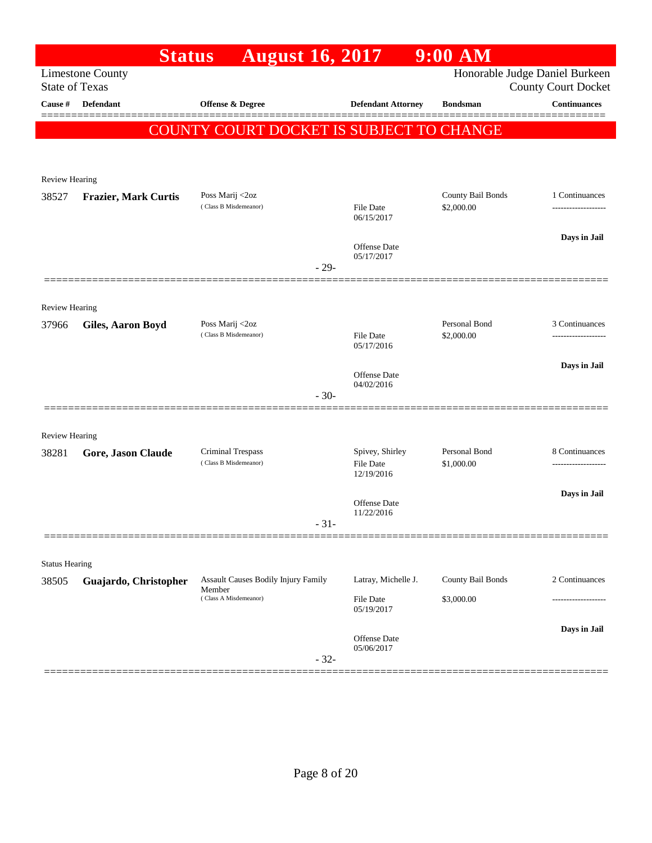|                                | <b>Status</b>               | <b>August 16, 2017</b>                          |        |                                | 9:00 AM           |                                                              |
|--------------------------------|-----------------------------|-------------------------------------------------|--------|--------------------------------|-------------------|--------------------------------------------------------------|
| <b>State of Texas</b>          | <b>Limestone County</b>     |                                                 |        |                                |                   | Honorable Judge Daniel Burkeen<br><b>County Court Docket</b> |
| Cause #                        | <b>Defendant</b>            | Offense & Degree                                |        | <b>Defendant Attorney</b>      | <b>Bondsman</b>   | <b>Continuances</b>                                          |
|                                |                             | <b>COUNTY COURT DOCKET IS SUBJECT TO CHANGE</b> |        |                                |                   |                                                              |
|                                |                             |                                                 |        |                                |                   |                                                              |
|                                |                             |                                                 |        |                                |                   |                                                              |
| <b>Review Hearing</b>          |                             | Poss Marij <2oz                                 |        |                                | County Bail Bonds | 1 Continuances                                               |
| 38527                          | <b>Frazier, Mark Curtis</b> | (Class B Misdemeanor)                           |        | File Date<br>06/15/2017        | \$2,000.00        |                                                              |
|                                |                             |                                                 |        | Offense Date                   |                   | Days in Jail                                                 |
|                                |                             |                                                 | $-29-$ | 05/17/2017                     |                   |                                                              |
|                                |                             |                                                 |        |                                |                   |                                                              |
| <b>Review Hearing</b><br>37966 | Giles, Aaron Boyd           | Poss Marij <2oz                                 |        |                                | Personal Bond     | 3 Continuances                                               |
|                                |                             | (Class B Misdemeanor)                           |        | <b>File Date</b><br>05/17/2016 | \$2,000.00        |                                                              |
|                                |                             |                                                 |        | Offense Date                   |                   | Days in Jail                                                 |
|                                |                             |                                                 | $-30-$ | 04/02/2016                     |                   |                                                              |
|                                |                             |                                                 |        |                                |                   |                                                              |
| <b>Review Hearing</b><br>38281 | Gore, Jason Claude          | Criminal Trespass                               |        | Spivey, Shirley                | Personal Bond     | 8 Continuances                                               |
|                                |                             | (Class B Misdemeanor)                           |        | <b>File Date</b><br>12/19/2016 | \$1,000.00        |                                                              |
|                                |                             |                                                 |        |                                |                   | Days in Jail                                                 |
|                                |                             |                                                 | $-31-$ | Offense Date<br>11/22/2016     |                   |                                                              |
|                                |                             |                                                 |        |                                |                   |                                                              |
| <b>Status Hearing</b>          |                             |                                                 |        |                                |                   |                                                              |
| 38505                          | Guajardo, Christopher       | Assault Causes Bodily Injury Family<br>Member   |        | Latray, Michelle J.            | County Bail Bonds | 2 Continuances                                               |
|                                |                             | (Class A Misdemeanor)                           |        | File Date<br>05/19/2017        | \$3,000.00        |                                                              |
|                                |                             |                                                 |        |                                |                   | Days in Jail                                                 |
|                                |                             |                                                 | $-32-$ | Offense Date<br>05/06/2017     |                   |                                                              |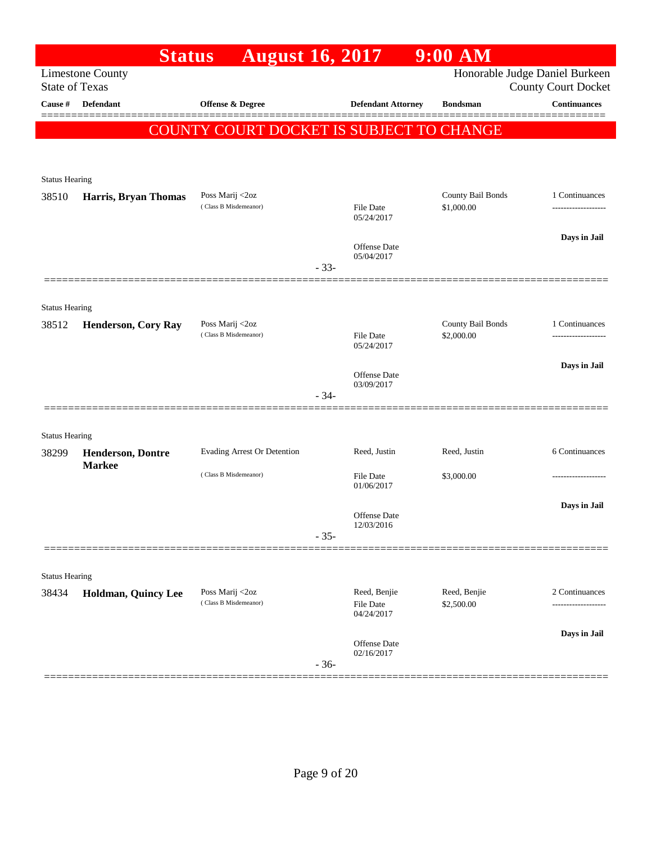|                                  | <b>Status</b>                             | <b>August 16, 2017</b>                   |        |                                   | $9:00$ AM                  |                                                   |
|----------------------------------|-------------------------------------------|------------------------------------------|--------|-----------------------------------|----------------------------|---------------------------------------------------|
|                                  | <b>Limestone County</b>                   |                                          |        |                                   |                            | Honorable Judge Daniel Burkeen                    |
| <b>State of Texas</b><br>Cause # | <b>Defendant</b>                          | <b>Offense &amp; Degree</b>              |        | <b>Defendant Attorney</b>         | <b>Bondsman</b>            | <b>County Court Docket</b><br><b>Continuances</b> |
|                                  |                                           |                                          |        |                                   |                            |                                                   |
|                                  |                                           | COUNTY COURT DOCKET IS SUBJECT TO CHANGE |        |                                   |                            |                                                   |
|                                  |                                           |                                          |        |                                   |                            |                                                   |
| <b>Status Hearing</b>            |                                           |                                          |        |                                   |                            |                                                   |
| 38510                            | Harris, Bryan Thomas                      | Poss Marij <2oz                          |        |                                   | County Bail Bonds          | 1 Continuances                                    |
|                                  |                                           | (Class B Misdemeanor)                    |        | <b>File Date</b><br>05/24/2017    | \$1,000.00                 |                                                   |
|                                  |                                           |                                          |        |                                   |                            | Days in Jail                                      |
|                                  |                                           |                                          |        | Offense Date<br>05/04/2017        |                            |                                                   |
|                                  |                                           |                                          | $-33-$ |                                   |                            |                                                   |
|                                  |                                           |                                          |        |                                   |                            |                                                   |
| <b>Status Hearing</b><br>38512   | <b>Henderson, Cory Ray</b>                | Poss Marij <2oz                          |        |                                   | County Bail Bonds          | 1 Continuances                                    |
|                                  |                                           | (Class B Misdemeanor)                    |        | <b>File Date</b><br>05/24/2017    | \$2,000.00                 |                                                   |
|                                  |                                           |                                          |        |                                   |                            | Days in Jail                                      |
|                                  |                                           |                                          |        | Offense Date<br>03/09/2017        |                            |                                                   |
|                                  |                                           |                                          | $-34-$ |                                   |                            |                                                   |
|                                  |                                           |                                          |        |                                   |                            |                                                   |
| <b>Status Hearing</b>            |                                           |                                          |        |                                   |                            |                                                   |
| 38299                            | <b>Henderson, Dontre</b><br><b>Markee</b> | Evading Arrest Or Detention              |        | Reed, Justin                      | Reed, Justin               | 6 Continuances                                    |
|                                  |                                           | (Class B Misdemeanor)                    |        | <b>File Date</b><br>01/06/2017    | \$3,000.00                 |                                                   |
|                                  |                                           |                                          |        |                                   |                            | Days in Jail                                      |
|                                  |                                           |                                          |        | <b>Offense</b> Date<br>12/03/2016 |                            |                                                   |
|                                  |                                           |                                          | $-35-$ |                                   |                            |                                                   |
|                                  |                                           |                                          |        |                                   |                            |                                                   |
| <b>Status Hearing</b>            |                                           |                                          |        |                                   |                            |                                                   |
| 38434                            | Holdman, Quincy Lee                       | Poss Marij <2oz<br>(Class B Misdemeanor) |        | Reed, Benjie<br><b>File Date</b>  | Reed, Benjie<br>\$2,500.00 | 2 Continuances<br>--------------                  |
|                                  |                                           |                                          |        | 04/24/2017                        |                            |                                                   |
|                                  |                                           |                                          |        | <b>Offense</b> Date               |                            | Days in Jail                                      |
|                                  |                                           |                                          | $-36-$ | 02/16/2017                        |                            |                                                   |
|                                  |                                           |                                          |        |                                   |                            |                                                   |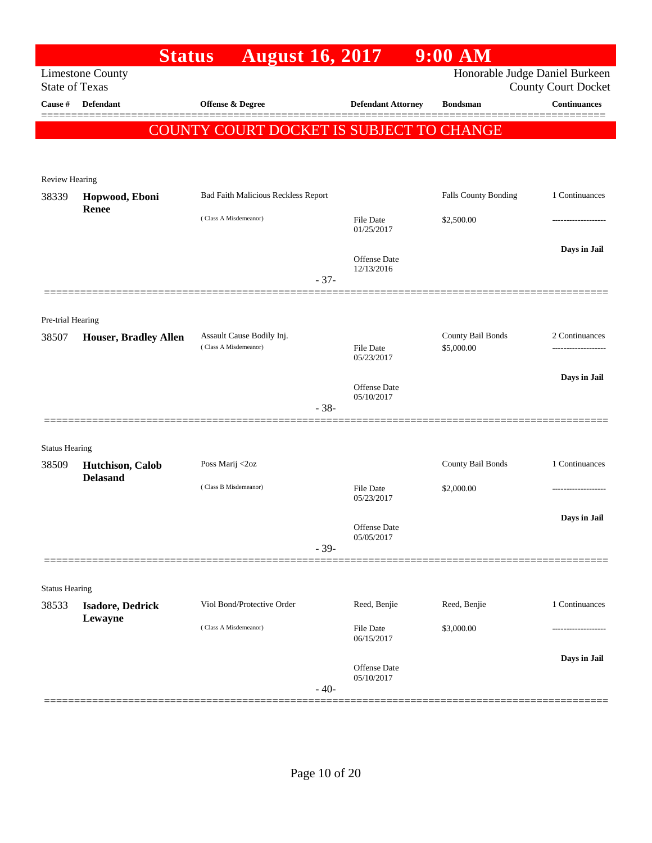|                                  | <b>Status</b>                | <b>August 16, 2017</b>                             |                            | $9:00$ AM                      |                                                   |
|----------------------------------|------------------------------|----------------------------------------------------|----------------------------|--------------------------------|---------------------------------------------------|
|                                  | <b>Limestone County</b>      |                                                    |                            | Honorable Judge Daniel Burkeen |                                                   |
| <b>State of Texas</b><br>Cause # | <b>Defendant</b>             | <b>Offense &amp; Degree</b>                        | <b>Defendant Attorney</b>  | <b>Bondsman</b>                | <b>County Court Docket</b><br><b>Continuances</b> |
|                                  |                              |                                                    |                            |                                |                                                   |
|                                  |                              | COUNTY COURT DOCKET IS SUBJECT TO CHANGE           |                            |                                |                                                   |
|                                  |                              |                                                    |                            |                                |                                                   |
| Review Hearing                   |                              |                                                    |                            |                                |                                                   |
| 38339                            | Hopwood, Eboni               | Bad Faith Malicious Reckless Report                |                            | Falls County Bonding           | 1 Continuances                                    |
|                                  | Renee                        | (Class A Misdemeanor)                              | File Date                  | \$2,500.00                     |                                                   |
|                                  |                              |                                                    | 01/25/2017                 |                                |                                                   |
|                                  |                              |                                                    | Offense Date               |                                | Days in Jail                                      |
|                                  |                              |                                                    | 12/13/2016                 |                                |                                                   |
|                                  |                              | $-37-$                                             |                            |                                |                                                   |
|                                  |                              |                                                    |                            |                                |                                                   |
| Pre-trial Hearing                |                              |                                                    |                            | County Bail Bonds              | 2 Continuances                                    |
| 38507                            | <b>Houser, Bradley Allen</b> | Assault Cause Bodily Inj.<br>(Class A Misdemeanor) | File Date                  | \$5,000.00                     | .                                                 |
|                                  |                              |                                                    | 05/23/2017                 |                                |                                                   |
|                                  |                              |                                                    | Offense Date               |                                | Days in Jail                                      |
|                                  |                              | $-38-$                                             | 05/10/2017                 |                                |                                                   |
|                                  |                              |                                                    |                            |                                |                                                   |
| <b>Status Hearing</b>            |                              |                                                    |                            |                                |                                                   |
| 38509                            | Hutchison, Calob             | Poss Marij <2oz                                    |                            | County Bail Bonds              | 1 Continuances                                    |
|                                  | <b>Delasand</b>              | (Class B Misdemeanor)                              | <b>File Date</b>           | \$2,000.00                     |                                                   |
|                                  |                              |                                                    | 05/23/2017                 |                                |                                                   |
|                                  |                              |                                                    | Offense Date               |                                | Days in Jail                                      |
|                                  |                              | $-39-$                                             | 05/05/2017                 |                                |                                                   |
|                                  |                              |                                                    |                            |                                |                                                   |
| <b>Status Hearing</b>            |                              |                                                    |                            |                                |                                                   |
| 38533                            | <b>Isadore, Dedrick</b>      | Viol Bond/Protective Order                         | Reed, Benjie               | Reed, Benjie                   | 1 Continuances                                    |
|                                  | Lewayne                      | (Class A Misdemeanor)                              |                            |                                |                                                   |
|                                  |                              |                                                    | File Date<br>06/15/2017    | \$3,000.00                     |                                                   |
|                                  |                              |                                                    |                            |                                | Days in Jail                                      |
|                                  |                              |                                                    | Offense Date<br>05/10/2017 |                                |                                                   |
|                                  |                              | $-40-$                                             |                            |                                |                                                   |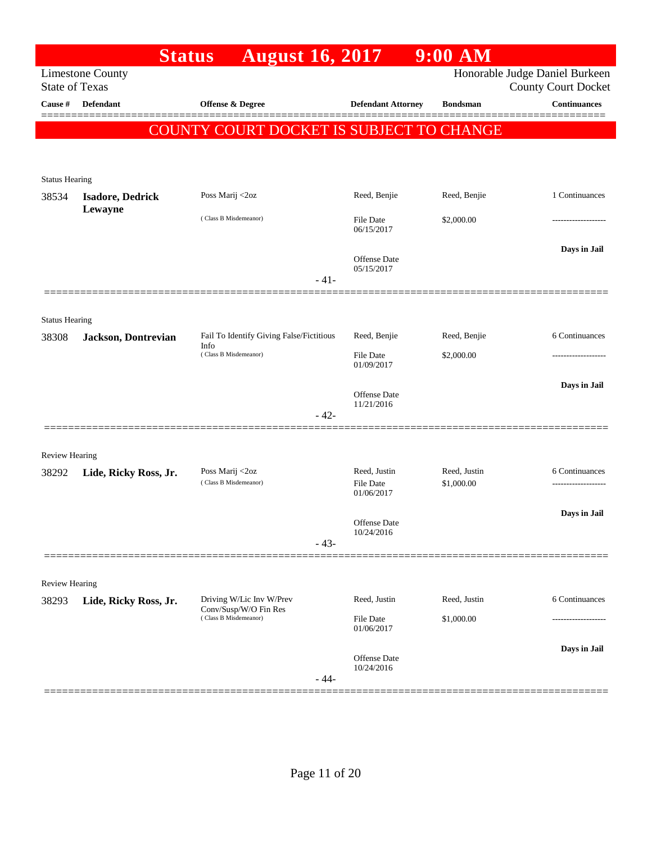|                       | <b>Status</b>                                    | <b>August 16, 2017</b>                            |                                   | $9:00$ AM       |                                                              |
|-----------------------|--------------------------------------------------|---------------------------------------------------|-----------------------------------|-----------------|--------------------------------------------------------------|
|                       | <b>Limestone County</b><br><b>State of Texas</b> |                                                   |                                   |                 | Honorable Judge Daniel Burkeen<br><b>County Court Docket</b> |
| Cause #               | Defendant                                        | Offense & Degree                                  | <b>Defendant Attorney</b>         | <b>Bondsman</b> | <b>Continuances</b>                                          |
|                       |                                                  | COUNTY COURT DOCKET IS SUBJECT TO CHANGE          |                                   |                 |                                                              |
|                       |                                                  |                                                   |                                   |                 |                                                              |
|                       |                                                  |                                                   |                                   |                 |                                                              |
| <b>Status Hearing</b> |                                                  |                                                   |                                   | Reed, Benjie    | 1 Continuances                                               |
| 38534                 | <b>Isadore, Dedrick</b><br>Lewayne               | Poss Marij <2oz                                   | Reed, Benjie                      |                 |                                                              |
|                       |                                                  | (Class B Misdemeanor)                             | File Date<br>06/15/2017           | \$2,000.00      |                                                              |
|                       |                                                  |                                                   |                                   |                 | Days in Jail                                                 |
|                       |                                                  |                                                   | <b>Offense Date</b><br>05/15/2017 |                 |                                                              |
|                       |                                                  | $-41-$                                            |                                   |                 |                                                              |
|                       |                                                  |                                                   |                                   |                 |                                                              |
| <b>Status Hearing</b> |                                                  |                                                   |                                   |                 |                                                              |
| 38308                 | Jackson, Dontrevian                              | Fail To Identify Giving False/Fictitious<br>Info  | Reed, Benjie                      | Reed, Benjie    | 6 Continuances                                               |
|                       |                                                  | (Class B Misdemeanor)                             | <b>File Date</b><br>01/09/2017    | \$2,000.00      | ----------------                                             |
|                       |                                                  |                                                   |                                   |                 | Days in Jail                                                 |
|                       |                                                  |                                                   | Offense Date<br>11/21/2016        |                 |                                                              |
|                       |                                                  | $-42-$                                            |                                   |                 |                                                              |
|                       |                                                  |                                                   |                                   |                 |                                                              |
| <b>Review Hearing</b> |                                                  | Poss Marij <2oz                                   | Reed, Justin                      | Reed, Justin    | 6 Continuances                                               |
| 38292                 | Lide, Ricky Ross, Jr.                            | (Class B Misdemeanor)                             | File Date                         | \$1,000.00      |                                                              |
|                       |                                                  |                                                   | 01/06/2017                        |                 |                                                              |
|                       |                                                  |                                                   | Offense Date                      |                 | Days in Jail                                                 |
|                       |                                                  | $-43-$                                            | 10/24/2016                        |                 |                                                              |
|                       |                                                  |                                                   |                                   |                 |                                                              |
| Review Hearing        |                                                  |                                                   |                                   |                 |                                                              |
| 38293                 | Lide, Ricky Ross, Jr.                            | Driving W/Lic Inv W/Prev<br>Conv/Susp/W/O Fin Res | Reed, Justin                      | Reed, Justin    | 6 Continuances                                               |
|                       |                                                  | (Class B Misdemeanor)                             | File Date<br>01/06/2017           | \$1,000.00      |                                                              |
|                       |                                                  |                                                   |                                   |                 | Days in Jail                                                 |
|                       |                                                  |                                                   | Offense Date<br>10/24/2016        |                 |                                                              |
|                       | =============                                    | $-44-$                                            |                                   |                 |                                                              |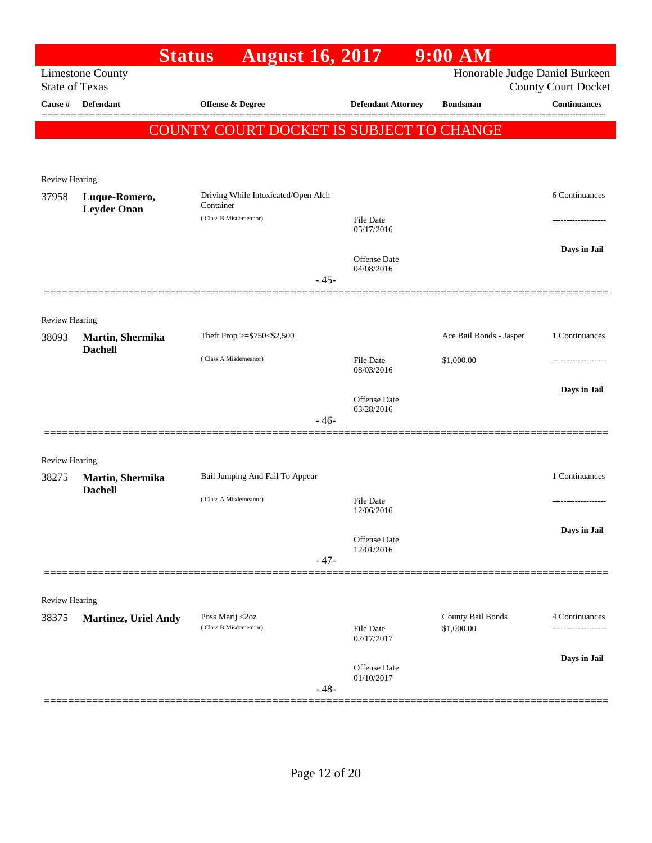|                                |                                     | <b>August 16, 2017</b><br><b>Status</b>          |                                   | 9:00 AM                        |                            |
|--------------------------------|-------------------------------------|--------------------------------------------------|-----------------------------------|--------------------------------|----------------------------|
| <b>State of Texas</b>          | <b>Limestone County</b>             |                                                  |                                   | Honorable Judge Daniel Burkeen | <b>County Court Docket</b> |
| Cause #                        | Defendant                           | Offense & Degree                                 | <b>Defendant Attorney</b>         | <b>Bondsman</b>                | <b>Continuances</b>        |
|                                |                                     | <b>COUNTY COURT DOCKET IS SUBJECT TO CHANGE</b>  |                                   |                                |                            |
|                                |                                     |                                                  |                                   |                                |                            |
|                                |                                     |                                                  |                                   |                                |                            |
| Review Hearing                 |                                     |                                                  |                                   |                                |                            |
| 37958                          | Luque-Romero,<br><b>Leyder Onan</b> | Driving While Intoxicated/Open Alch<br>Container |                                   |                                | 6 Continuances             |
|                                |                                     | (Class B Misdemeanor)                            | <b>File Date</b><br>05/17/2016    |                                |                            |
|                                |                                     |                                                  |                                   |                                | Days in Jail               |
|                                |                                     |                                                  | <b>Offense Date</b><br>04/08/2016 |                                |                            |
|                                |                                     |                                                  | $-45-$                            |                                |                            |
|                                |                                     |                                                  |                                   |                                |                            |
| <b>Review Hearing</b>          |                                     | Theft Prop >=\$750<\$2,500                       |                                   | Ace Bail Bonds - Jasper        | 1 Continuances             |
| 38093                          | Martin, Shermika<br><b>Dachell</b>  |                                                  |                                   |                                |                            |
|                                |                                     | (Class A Misdemeanor)                            | <b>File Date</b><br>08/03/2016    | \$1,000.00                     |                            |
|                                |                                     |                                                  |                                   |                                | Days in Jail               |
|                                |                                     |                                                  | Offense Date<br>03/28/2016        |                                |                            |
|                                |                                     |                                                  | $-46-$                            |                                |                            |
|                                |                                     |                                                  |                                   |                                |                            |
| <b>Review Hearing</b><br>38275 | Martin, Shermika                    | Bail Jumping And Fail To Appear                  |                                   |                                | 1 Continuances             |
|                                | <b>Dachell</b>                      | (Class A Misdemeanor)                            | <b>File Date</b>                  |                                |                            |
|                                |                                     |                                                  | 12/06/2016                        |                                |                            |
|                                |                                     |                                                  | <b>Offense Date</b>               |                                | Days in Jail               |
|                                |                                     |                                                  | 12/01/2016<br>$-47-$              |                                |                            |
|                                |                                     |                                                  |                                   |                                |                            |
| <b>Review Hearing</b>          |                                     |                                                  |                                   |                                |                            |
| 38375                          | <b>Martinez, Uriel Andy</b>         | Poss Marij <2oz                                  |                                   | County Bail Bonds              | 4 Continuances             |
|                                |                                     | (Class B Misdemeanor)                            | <b>File Date</b><br>02/17/2017    | \$1,000.00                     | -------------------        |
|                                |                                     |                                                  |                                   |                                | Days in Jail               |
|                                |                                     |                                                  | Offense Date<br>01/10/2017        |                                |                            |
|                                |                                     |                                                  | $-48-$                            |                                |                            |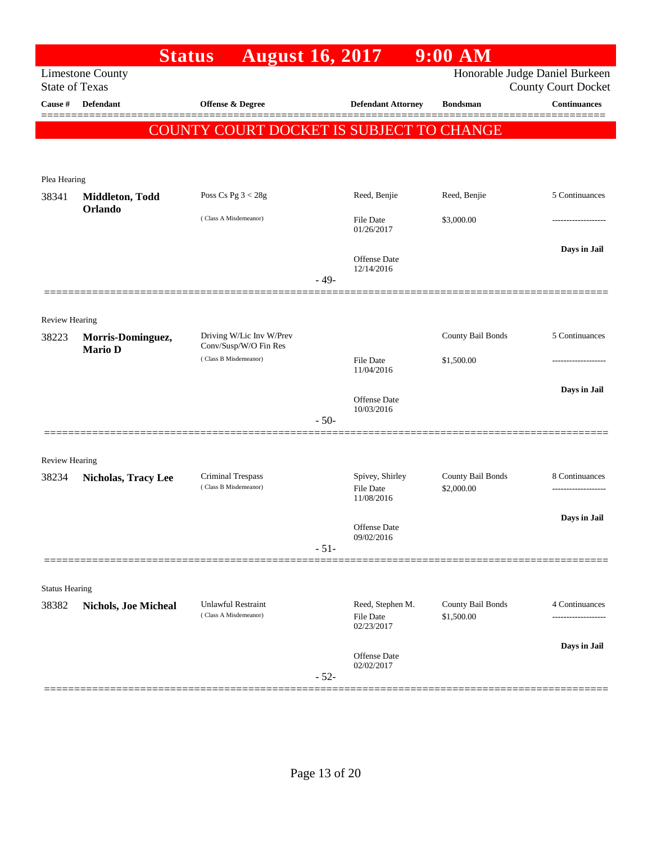|                       |                             | <b>August 16, 2017</b><br><b>Status</b>        |        |                                | $9:00$ AM         |                                                              |
|-----------------------|-----------------------------|------------------------------------------------|--------|--------------------------------|-------------------|--------------------------------------------------------------|
| <b>State of Texas</b> | <b>Limestone County</b>     |                                                |        |                                |                   | Honorable Judge Daniel Burkeen<br><b>County Court Docket</b> |
| Cause #               | <b>Defendant</b>            | Offense & Degree                               |        | <b>Defendant Attorney</b>      | <b>Bondsman</b>   | <b>Continuances</b>                                          |
|                       |                             |                                                |        |                                |                   |                                                              |
|                       |                             | COUNTY COURT DOCKET IS SUBJECT TO CHANGE       |        |                                |                   |                                                              |
|                       |                             |                                                |        |                                |                   |                                                              |
| Plea Hearing          |                             |                                                |        |                                |                   |                                                              |
| 38341                 | Middleton, Todd<br>Orlando  | Poss Cs Pg $3 < 28g$                           |        | Reed, Benjie                   | Reed, Benjie      | 5 Continuances                                               |
|                       |                             | (Class A Misdemeanor)                          |        | <b>File Date</b><br>01/26/2017 | \$3,000.00        |                                                              |
|                       |                             |                                                |        | Offense Date                   |                   | Days in Jail                                                 |
|                       |                             |                                                | $-49-$ | 12/14/2016                     |                   |                                                              |
|                       |                             |                                                |        |                                |                   |                                                              |
| <b>Review Hearing</b> |                             |                                                |        |                                |                   |                                                              |
| 38223                 | Morris-Dominguez,           | Driving W/Lic Inv W/Prev                       |        |                                | County Bail Bonds | 5 Continuances                                               |
|                       | <b>Mario D</b>              | Conv/Susp/W/O Fin Res<br>(Class B Misdemeanor) |        | <b>File Date</b>               | \$1,500.00        |                                                              |
|                       |                             |                                                |        | 11/04/2016                     |                   |                                                              |
|                       |                             |                                                |        | <b>Offense Date</b>            |                   | Days in Jail                                                 |
|                       |                             |                                                | $-50-$ | 10/03/2016                     |                   |                                                              |
|                       |                             |                                                |        |                                |                   |                                                              |
| Review Hearing        |                             |                                                |        |                                |                   |                                                              |
| 38234                 | <b>Nicholas, Tracy Lee</b>  | Criminal Trespass                              |        | Spivey, Shirley                | County Bail Bonds | 8 Continuances                                               |
|                       |                             | (Class B Misdemeanor)                          |        | <b>File Date</b><br>11/08/2016 | \$2,000.00        |                                                              |
|                       |                             |                                                |        |                                |                   | Days in Jail                                                 |
|                       |                             |                                                |        | Offense Date<br>09/02/2016     |                   |                                                              |
|                       |                             |                                                | $-51-$ |                                |                   |                                                              |
| <b>Status Hearing</b> |                             |                                                |        |                                |                   |                                                              |
| 38382                 | <b>Nichols, Joe Micheal</b> | <b>Unlawful Restraint</b>                      |        | Reed, Stephen M.               | County Bail Bonds | 4 Continuances                                               |
|                       |                             | (Class A Misdemeanor)                          |        | <b>File Date</b><br>02/23/2017 | \$1,500.00        |                                                              |
|                       |                             |                                                |        | <b>Offense Date</b>            |                   | Days in Jail                                                 |
|                       |                             |                                                | $-52-$ | 02/02/2017                     |                   |                                                              |
|                       |                             |                                                |        |                                |                   |                                                              |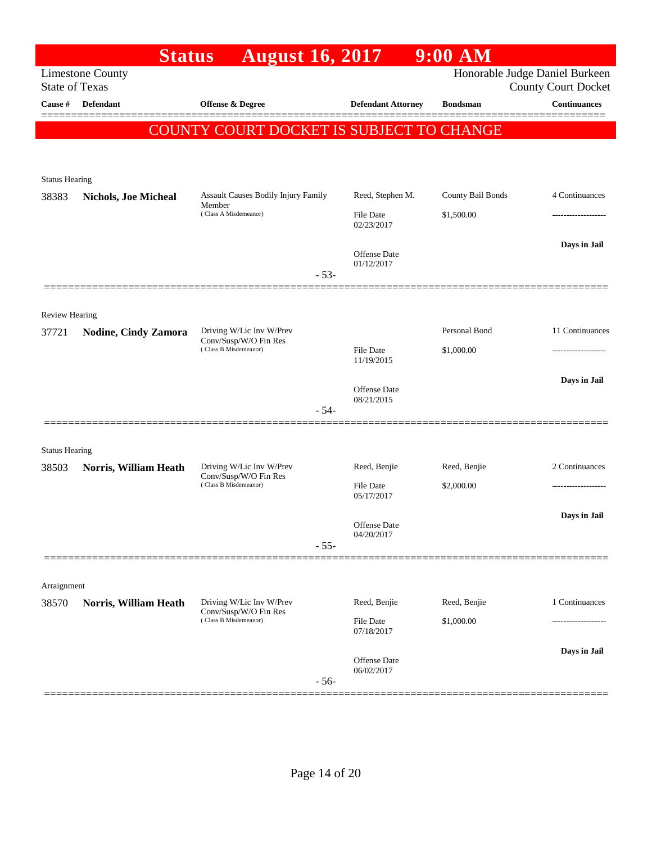|                       | <b>Status</b>               | <b>August 16, 2017</b>                                                     |                                   | $9:00$ AM         |                                                              |
|-----------------------|-----------------------------|----------------------------------------------------------------------------|-----------------------------------|-------------------|--------------------------------------------------------------|
| <b>State of Texas</b> | <b>Limestone County</b>     |                                                                            |                                   |                   | Honorable Judge Daniel Burkeen<br><b>County Court Docket</b> |
| Cause #               | <b>Defendant</b>            | <b>Offense &amp; Degree</b>                                                | <b>Defendant Attorney</b>         | <b>Bondsman</b>   | <b>Continuances</b>                                          |
|                       |                             | COUNTY COURT DOCKET IS SUBJECT TO CHANGE                                   |                                   |                   |                                                              |
|                       |                             |                                                                            |                                   |                   |                                                              |
|                       |                             |                                                                            |                                   |                   |                                                              |
| <b>Status Hearing</b> |                             |                                                                            |                                   |                   |                                                              |
| 38383                 | <b>Nichols, Joe Micheal</b> | Assault Causes Bodily Injury Family<br>Member                              | Reed, Stephen M.                  | County Bail Bonds | 4 Continuances                                               |
|                       |                             | (Class A Misdemeanor)                                                      | <b>File Date</b><br>02/23/2017    | \$1,500.00        |                                                              |
|                       |                             |                                                                            |                                   |                   | Days in Jail                                                 |
|                       |                             |                                                                            | <b>Offense</b> Date<br>01/12/2017 |                   |                                                              |
|                       |                             | $-53-$                                                                     |                                   |                   |                                                              |
|                       |                             |                                                                            |                                   |                   |                                                              |
| <b>Review Hearing</b> |                             |                                                                            |                                   |                   |                                                              |
| 37721                 | <b>Nodine, Cindy Zamora</b> | Driving W/Lic Inv W/Prev<br>Conv/Susp/W/O Fin Res<br>(Class B Misdemeanor) |                                   | Personal Bond     | 11 Continuances                                              |
|                       |                             |                                                                            | <b>File Date</b><br>11/19/2015    | \$1,000.00        | -------------------                                          |
|                       |                             |                                                                            |                                   |                   | Days in Jail                                                 |
|                       |                             |                                                                            | <b>Offense Date</b><br>08/21/2015 |                   |                                                              |
|                       |                             | $-54-$                                                                     |                                   |                   |                                                              |
|                       |                             |                                                                            |                                   |                   |                                                              |
| <b>Status Hearing</b> |                             |                                                                            |                                   |                   |                                                              |
| 38503                 | Norris, William Heath       | Driving W/Lic Inv W/Prev<br>Conv/Susp/W/O Fin Res                          | Reed, Benjie                      | Reed, Benjie      | 2 Continuances                                               |
|                       |                             | (Class B Misdemeanor)                                                      | <b>File Date</b><br>05/17/2017    | \$2,000.00        |                                                              |
|                       |                             |                                                                            |                                   |                   | Days in Jail                                                 |
|                       |                             |                                                                            | Offense Date<br>04/20/2017        |                   |                                                              |
|                       |                             | $-55-$                                                                     |                                   |                   |                                                              |
|                       |                             |                                                                            |                                   |                   |                                                              |
| Arraignment           |                             |                                                                            |                                   |                   |                                                              |
| 38570                 | Norris, William Heath       | Driving W/Lic Inv W/Prev<br>Conv/Susp/W/O Fin Res                          | Reed, Benjie                      | Reed, Benjie      | 1 Continuances                                               |
|                       |                             | (Class B Misdemeanor)                                                      | File Date<br>07/18/2017           | \$1,000.00        |                                                              |
|                       |                             |                                                                            |                                   |                   | Days in Jail                                                 |
|                       |                             |                                                                            | Offense Date<br>06/02/2017        |                   |                                                              |
|                       |                             | $-56-$                                                                     |                                   |                   |                                                              |
|                       |                             |                                                                            |                                   |                   |                                                              |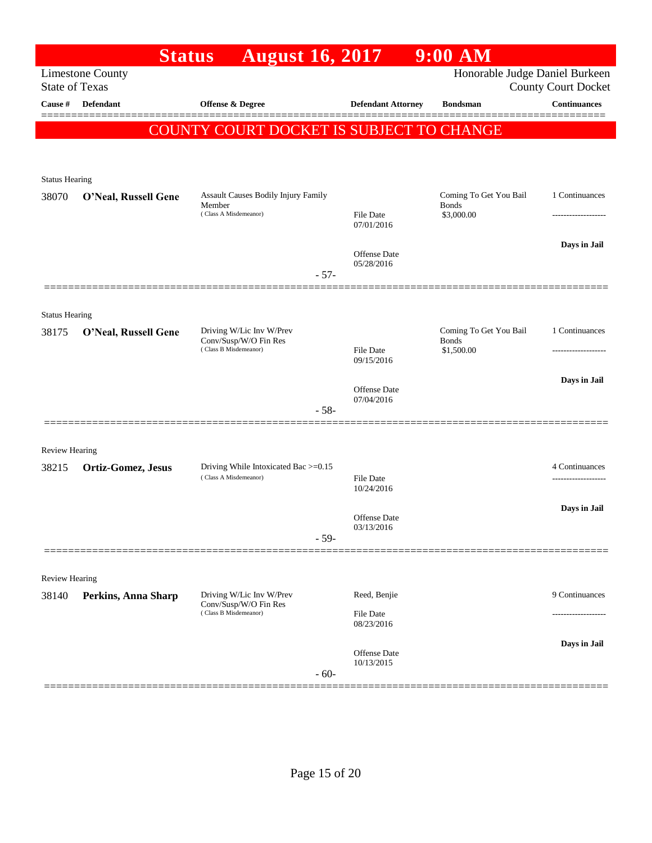|                       | <b>Status</b>                                                                                                    | <b>August 16, 2017</b>                                                     |                                   | $9:00$ $\overline{\text{AM}}$ |                     |  |  |  |
|-----------------------|------------------------------------------------------------------------------------------------------------------|----------------------------------------------------------------------------|-----------------------------------|-------------------------------|---------------------|--|--|--|
|                       | Honorable Judge Daniel Burkeen<br><b>Limestone County</b><br><b>State of Texas</b><br><b>County Court Docket</b> |                                                                            |                                   |                               |                     |  |  |  |
| Cause #               | <b>Defendant</b>                                                                                                 | <b>Offense &amp; Degree</b>                                                | <b>Defendant Attorney</b>         | <b>Bondsman</b>               | <b>Continuances</b> |  |  |  |
|                       |                                                                                                                  | COUNTY COURT DOCKET IS SUBJECT TO CHANGE                                   |                                   |                               |                     |  |  |  |
|                       |                                                                                                                  |                                                                            |                                   |                               |                     |  |  |  |
| <b>Status Hearing</b> |                                                                                                                  |                                                                            |                                   |                               |                     |  |  |  |
| 38070                 | O'Neal, Russell Gene                                                                                             | Assault Causes Bodily Injury Family                                        |                                   | Coming To Get You Bail        | 1 Continuances      |  |  |  |
|                       |                                                                                                                  | Member<br>(Class A Misdemeanor)                                            | <b>File Date</b><br>07/01/2016    | <b>Bonds</b><br>\$3,000.00    | ---------------     |  |  |  |
|                       |                                                                                                                  |                                                                            |                                   |                               | Days in Jail        |  |  |  |
|                       |                                                                                                                  |                                                                            | <b>Offense Date</b><br>05/28/2016 |                               |                     |  |  |  |
|                       |                                                                                                                  | $-57-$                                                                     |                                   |                               |                     |  |  |  |
| <b>Status Hearing</b> |                                                                                                                  |                                                                            |                                   |                               |                     |  |  |  |
| 38175                 | O'Neal, Russell Gene                                                                                             | Driving W/Lic Inv W/Prev<br>Conv/Susp/W/O Fin Res<br>(Class B Misdemeanor) |                                   | Coming To Get You Bail        | 1 Continuances      |  |  |  |
|                       |                                                                                                                  |                                                                            | <b>File Date</b><br>09/15/2016    | <b>Bonds</b><br>\$1,500.00    | ------------------- |  |  |  |
|                       |                                                                                                                  |                                                                            |                                   |                               | Days in Jail        |  |  |  |
|                       |                                                                                                                  |                                                                            | <b>Offense</b> Date<br>07/04/2016 |                               |                     |  |  |  |
|                       |                                                                                                                  | $-58-$                                                                     |                                   |                               |                     |  |  |  |
| <b>Review Hearing</b> |                                                                                                                  |                                                                            |                                   |                               |                     |  |  |  |
| 38215                 | Ortiz-Gomez, Jesus                                                                                               | Driving While Intoxicated Bac >=0.15                                       |                                   |                               | 4 Continuances      |  |  |  |
|                       |                                                                                                                  | (Class A Misdemeanor)                                                      | <b>File Date</b><br>10/24/2016    |                               | ------------------- |  |  |  |
|                       |                                                                                                                  |                                                                            | <b>Offense Date</b>               |                               | Days in Jail        |  |  |  |
|                       |                                                                                                                  | $-59-$                                                                     | 03/13/2016                        |                               |                     |  |  |  |
|                       |                                                                                                                  |                                                                            |                                   |                               |                     |  |  |  |
| <b>Review Hearing</b> |                                                                                                                  |                                                                            |                                   |                               |                     |  |  |  |
| 38140                 | Perkins, Anna Sharp                                                                                              | Driving W/Lic Inv W/Prev<br>Conv/Susp/W/O Fin Res                          | Reed, Benjie                      |                               | 9 Continuances      |  |  |  |
|                       |                                                                                                                  | (Class B Misdemeanor)                                                      | <b>File Date</b><br>08/23/2016    |                               |                     |  |  |  |
|                       |                                                                                                                  |                                                                            | <b>Offense Date</b>               |                               | Days in Jail        |  |  |  |
|                       |                                                                                                                  | $-60-$                                                                     | 10/13/2015                        |                               |                     |  |  |  |
|                       |                                                                                                                  |                                                                            |                                   |                               |                     |  |  |  |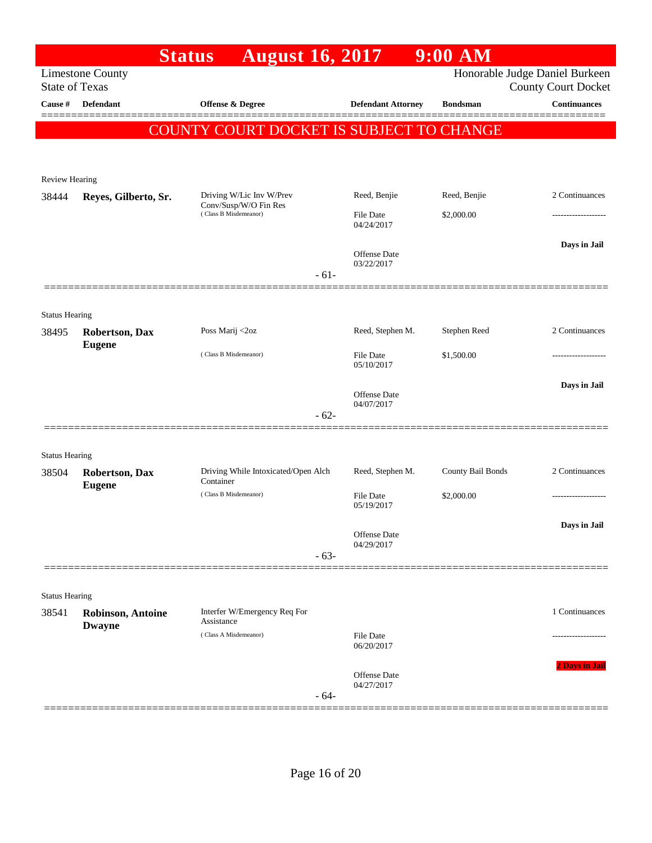|                                |                                           | <b>August 16, 2017</b><br><b>Status</b>          |                                | $9:00$ AM         |                                                              |
|--------------------------------|-------------------------------------------|--------------------------------------------------|--------------------------------|-------------------|--------------------------------------------------------------|
| <b>State of Texas</b>          | <b>Limestone County</b>                   |                                                  |                                |                   | Honorable Judge Daniel Burkeen<br><b>County Court Docket</b> |
| Cause #                        | <b>Defendant</b>                          | <b>Offense &amp; Degree</b>                      | <b>Defendant Attorney</b>      | <b>Bondsman</b>   | <b>Continuances</b>                                          |
|                                |                                           | COUNTY COURT DOCKET IS SUBJECT TO CHANGE         |                                |                   |                                                              |
|                                |                                           |                                                  |                                |                   |                                                              |
|                                |                                           |                                                  |                                |                   |                                                              |
| <b>Review Hearing</b><br>38444 | Reyes, Gilberto, Sr.                      | Driving W/Lic Inv W/Prev                         | Reed, Benjie                   | Reed, Benjie      | 2 Continuances                                               |
|                                |                                           | Conv/Susp/W/O Fin Res<br>(Class B Misdemeanor)   | <b>File Date</b><br>04/24/2017 | \$2,000.00        |                                                              |
|                                |                                           |                                                  |                                |                   | Days in Jail                                                 |
|                                |                                           |                                                  | Offense Date<br>03/22/2017     |                   |                                                              |
|                                |                                           | $-61-$                                           |                                |                   |                                                              |
|                                |                                           |                                                  |                                |                   |                                                              |
| <b>Status Hearing</b>          |                                           |                                                  |                                |                   |                                                              |
| 38495                          | <b>Robertson</b> , Dax<br><b>Eugene</b>   | Poss Marij <2oz                                  | Reed, Stephen M.               | Stephen Reed      | 2 Continuances                                               |
|                                |                                           | (Class B Misdemeanor)                            | File Date<br>05/10/2017        | \$1,500.00        |                                                              |
|                                |                                           |                                                  | Offense Date                   |                   | Days in Jail                                                 |
|                                |                                           |                                                  | 04/07/2017<br>$-62-$           |                   |                                                              |
|                                |                                           |                                                  |                                |                   |                                                              |
| <b>Status Hearing</b>          |                                           |                                                  |                                |                   |                                                              |
| 38504                          | <b>Robertson, Dax</b>                     | Driving While Intoxicated/Open Alch<br>Container | Reed, Stephen M.               | County Bail Bonds | 2 Continuances                                               |
|                                | <b>Eugene</b>                             | (Class B Misdemeanor)                            | File Date<br>05/19/2017        | \$2,000.00        |                                                              |
|                                |                                           |                                                  |                                |                   | Days in Jail                                                 |
|                                |                                           |                                                  | Offense Date<br>04/29/2017     |                   |                                                              |
|                                |                                           |                                                  | $-63-$                         |                   |                                                              |
|                                |                                           |                                                  |                                |                   |                                                              |
| <b>Status Hearing</b><br>38541 |                                           | Interfer W/Emergency Req For                     |                                |                   | 1 Continuances                                               |
|                                | <b>Robinson, Antoine</b><br><b>Dwayne</b> | Assistance                                       |                                |                   |                                                              |
|                                |                                           | (Class A Misdemeanor)                            | <b>File Date</b><br>06/20/2017 |                   |                                                              |
|                                |                                           |                                                  | Offense Date                   |                   | 2 Days in Jail                                               |
|                                |                                           |                                                  | 04/27/2017<br>$-64-$           |                   |                                                              |
|                                |                                           |                                                  |                                |                   |                                                              |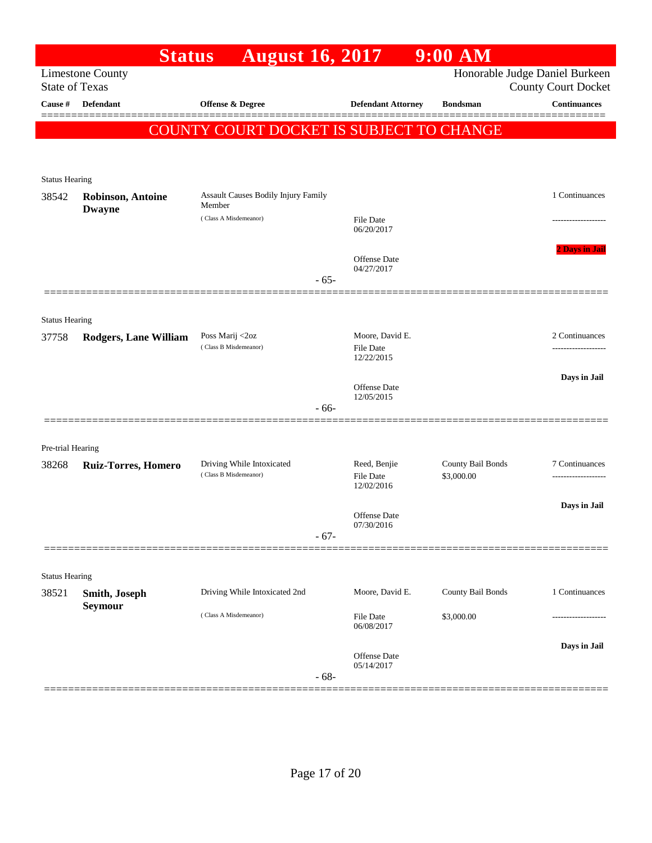|                            | <b>Status</b>                             | <b>August 16, 2017</b>                          |                                                   | 9:00 AM           |                                                              |
|----------------------------|-------------------------------------------|-------------------------------------------------|---------------------------------------------------|-------------------|--------------------------------------------------------------|
| <b>State of Texas</b>      | <b>Limestone County</b>                   |                                                 |                                                   |                   | Honorable Judge Daniel Burkeen<br><b>County Court Docket</b> |
| Cause #                    | <b>Defendant</b>                          | Offense & Degree                                | <b>Defendant Attorney</b>                         | <b>Bondsman</b>   | <b>Continuances</b>                                          |
|                            |                                           | <b>COUNTY COURT DOCKET IS SUBJECT TO CHANGE</b> |                                                   |                   |                                                              |
|                            |                                           |                                                 |                                                   |                   |                                                              |
|                            |                                           |                                                 |                                                   |                   |                                                              |
| <b>Status Hearing</b>      |                                           | Assault Causes Bodily Injury Family             |                                                   |                   | 1 Continuances                                               |
| 38542                      | <b>Robinson, Antoine</b><br><b>Dwayne</b> | Member                                          |                                                   |                   |                                                              |
|                            |                                           | (Class A Misdemeanor)                           | <b>File Date</b><br>06/20/2017                    |                   |                                                              |
|                            |                                           |                                                 | Offense Date<br>04/27/2017                        |                   | <b>2 Days in Jail</b>                                        |
|                            |                                           | $-65-$                                          |                                                   |                   |                                                              |
|                            |                                           |                                                 |                                                   |                   |                                                              |
| <b>Status Hearing</b>      |                                           |                                                 |                                                   |                   | 2 Continuances                                               |
| 37758                      | <b>Rodgers, Lane William</b>              | Poss Marij <2oz<br>(Class B Misdemeanor)        | Moore, David E.<br><b>File Date</b><br>12/22/2015 |                   | .                                                            |
|                            |                                           |                                                 |                                                   |                   | Days in Jail                                                 |
|                            |                                           |                                                 | Offense Date<br>12/05/2015                        |                   |                                                              |
|                            |                                           | $-66-$                                          |                                                   |                   |                                                              |
|                            |                                           |                                                 |                                                   |                   |                                                              |
| Pre-trial Hearing<br>38268 | <b>Ruiz-Torres, Homero</b>                | Driving While Intoxicated                       | Reed, Benjie                                      | County Bail Bonds | 7 Continuances                                               |
|                            |                                           | (Class B Misdemeanor)                           | <b>File Date</b><br>12/02/2016                    | \$3,000.00        |                                                              |
|                            |                                           |                                                 |                                                   |                   | Days in Jail                                                 |
|                            |                                           |                                                 | Offense Date<br>07/30/2016                        |                   |                                                              |
|                            |                                           | $-67-$                                          |                                                   |                   |                                                              |
|                            |                                           |                                                 |                                                   |                   |                                                              |
| <b>Status Hearing</b>      |                                           |                                                 |                                                   |                   |                                                              |
| 38521                      | Smith, Joseph<br>Seymour                  | Driving While Intoxicated 2nd                   | Moore, David E.                                   | County Bail Bonds | 1 Continuances                                               |
|                            |                                           | (Class A Misdemeanor)                           | File Date<br>06/08/2017                           | \$3,000.00        |                                                              |
|                            |                                           |                                                 | Offense Date                                      |                   | Days in Jail                                                 |
|                            |                                           | $-68-$                                          | 05/14/2017                                        |                   |                                                              |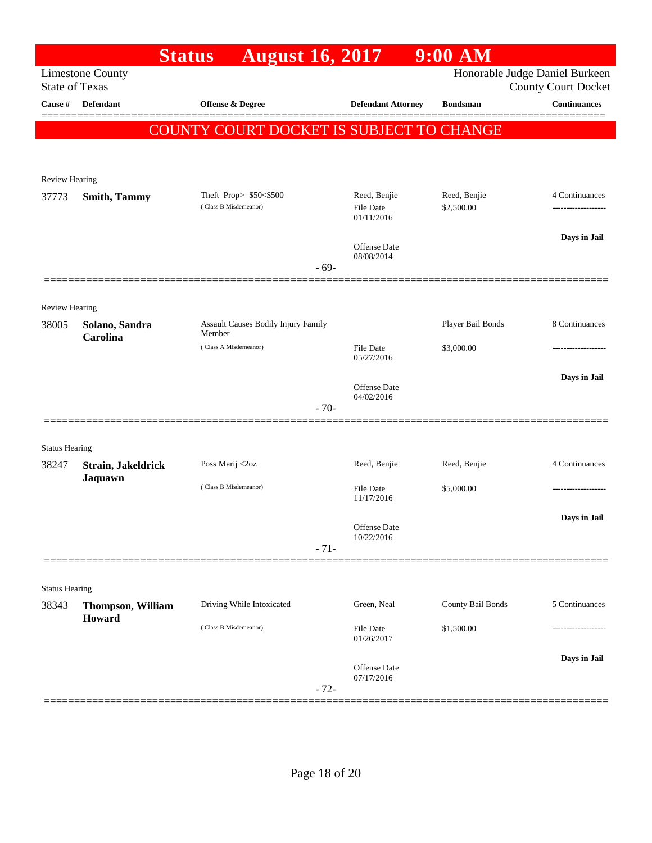|                       |                             | <b>Status</b><br><b>August 16, 2017</b>         |                                     |                                | 9:00 AM           |                                                              |
|-----------------------|-----------------------------|-------------------------------------------------|-------------------------------------|--------------------------------|-------------------|--------------------------------------------------------------|
| <b>State of Texas</b> | <b>Limestone County</b>     |                                                 |                                     |                                |                   | Honorable Judge Daniel Burkeen<br><b>County Court Docket</b> |
| Cause #               | <b>Defendant</b>            | Offense & Degree                                |                                     | <b>Defendant Attorney</b>      | <b>Bondsman</b>   | <b>Continuances</b>                                          |
|                       |                             | <b>COUNTY COURT DOCKET IS SUBJECT TO CHANGE</b> |                                     |                                |                   |                                                              |
|                       |                             |                                                 |                                     |                                |                   |                                                              |
|                       |                             |                                                 |                                     |                                |                   |                                                              |
| Review Hearing        |                             | Theft Prop>=\$50<\$500                          |                                     | Reed, Benjie                   | Reed, Benjie      | 4 Continuances                                               |
| 37773                 | <b>Smith, Tammy</b>         | (Class B Misdemeanor)                           |                                     | <b>File Date</b>               | \$2,500.00        |                                                              |
|                       |                             |                                                 |                                     | 01/11/2016                     |                   | Days in Jail                                                 |
|                       |                             |                                                 |                                     | Offense Date<br>08/08/2014     |                   |                                                              |
|                       |                             |                                                 | $-69-$                              |                                |                   |                                                              |
|                       |                             |                                                 |                                     |                                |                   |                                                              |
| Review Hearing        |                             |                                                 |                                     |                                |                   |                                                              |
| 38005                 | Solano, Sandra<br>Carolina  | Member                                          | Assault Causes Bodily Injury Family |                                | Player Bail Bonds | 8 Continuances                                               |
|                       |                             | (Class A Misdemeanor)                           |                                     | <b>File Date</b><br>05/27/2016 | \$3,000.00        |                                                              |
|                       |                             |                                                 |                                     |                                |                   | Days in Jail                                                 |
|                       |                             |                                                 |                                     | Offense Date<br>04/02/2016     |                   |                                                              |
|                       |                             |                                                 | $-70-$                              |                                |                   |                                                              |
| <b>Status Hearing</b> |                             |                                                 |                                     |                                |                   |                                                              |
| 38247                 | Strain, Jakeldrick          | Poss Marij <2oz                                 |                                     | Reed, Benjie                   | Reed, Benjie      | 4 Continuances                                               |
|                       | Jaquawn                     | (Class B Misdemeanor)                           |                                     | <b>File Date</b>               | \$5,000.00        | .                                                            |
|                       |                             |                                                 |                                     | 11/17/2016                     |                   |                                                              |
|                       |                             |                                                 |                                     | Offense Date                   |                   | Days in Jail                                                 |
|                       |                             |                                                 | $-71-$                              | 10/22/2016                     |                   |                                                              |
|                       |                             |                                                 |                                     |                                |                   |                                                              |
| <b>Status Hearing</b> |                             |                                                 |                                     |                                |                   |                                                              |
| 38343                 | Thompson, William<br>Howard | Driving While Intoxicated                       |                                     | Green, Neal                    | County Bail Bonds | 5 Continuances                                               |
|                       |                             | (Class B Misdemeanor)                           |                                     | File Date<br>01/26/2017        | \$1,500.00        | ---------------                                              |
|                       |                             |                                                 |                                     |                                |                   | Days in Jail                                                 |
|                       |                             |                                                 |                                     | Offense Date<br>07/17/2016     |                   |                                                              |
|                       |                             |                                                 | $-72-$                              |                                |                   |                                                              |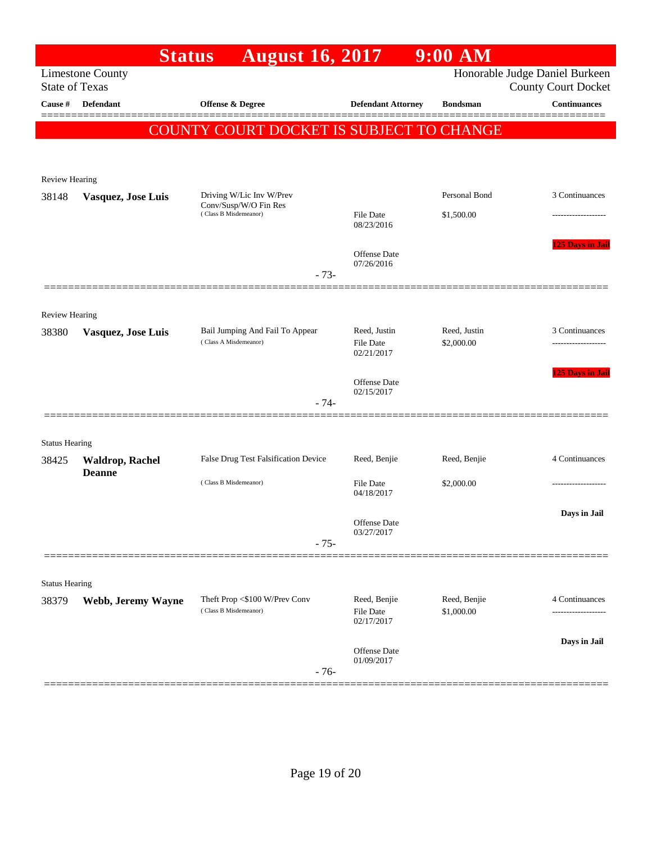|                                | <b>Status</b>                           | <b>August 16, 2017</b>                                 |                                | 9:00 AM                    |                                                              |
|--------------------------------|-----------------------------------------|--------------------------------------------------------|--------------------------------|----------------------------|--------------------------------------------------------------|
| <b>State of Texas</b>          | <b>Limestone County</b>                 |                                                        |                                |                            | Honorable Judge Daniel Burkeen<br><b>County Court Docket</b> |
| Cause #                        | Defendant                               | <b>Offense &amp; Degree</b>                            | <b>Defendant Attorney</b>      | <b>Bondsman</b>            | <b>Continuances</b>                                          |
|                                |                                         |                                                        |                                |                            |                                                              |
|                                |                                         | COUNTY COURT DOCKET IS SUBJECT TO CHANGE               |                                |                            |                                                              |
|                                |                                         |                                                        |                                |                            |                                                              |
| <b>Review Hearing</b>          |                                         |                                                        |                                |                            |                                                              |
| 38148                          | Vasquez, Jose Luis                      | Driving W/Lic Inv W/Prev<br>Conv/Susp/W/O Fin Res      |                                | Personal Bond              | 3 Continuances                                               |
|                                |                                         | (Class B Misdemeanor)                                  | <b>File Date</b><br>08/23/2016 | \$1,500.00                 |                                                              |
|                                |                                         |                                                        |                                |                            | <b>125 Days in Jail</b>                                      |
|                                |                                         |                                                        | Offense Date<br>07/26/2016     |                            |                                                              |
|                                |                                         | $-73-$                                                 |                                |                            |                                                              |
|                                |                                         |                                                        |                                |                            |                                                              |
| <b>Review Hearing</b><br>38380 |                                         | Bail Jumping And Fail To Appear                        | Reed, Justin                   | Reed, Justin               | 3 Continuances                                               |
|                                | Vasquez, Jose Luis                      | (Class A Misdemeanor)                                  | <b>File Date</b>               | \$2,000.00                 |                                                              |
|                                |                                         |                                                        | 02/21/2017                     |                            | 125 Days in Jail                                             |
|                                |                                         |                                                        | Offense Date<br>02/15/2017     |                            |                                                              |
|                                |                                         | $-74-$                                                 |                                |                            |                                                              |
|                                |                                         |                                                        |                                |                            |                                                              |
| <b>Status Hearing</b>          |                                         |                                                        |                                |                            |                                                              |
| 38425                          | <b>Waldrop, Rachel</b><br><b>Deanne</b> | False Drug Test Falsification Device                   | Reed, Benjie                   | Reed, Benjie               | 4 Continuances                                               |
|                                |                                         | (Class B Misdemeanor)                                  | <b>File Date</b><br>04/18/2017 | \$2,000.00                 |                                                              |
|                                |                                         |                                                        |                                |                            | Days in Jail                                                 |
|                                |                                         |                                                        | Offense Date<br>03/27/2017     |                            |                                                              |
|                                |                                         | $-75-$                                                 |                                |                            |                                                              |
|                                |                                         |                                                        |                                |                            |                                                              |
| <b>Status Hearing</b>          |                                         |                                                        |                                |                            |                                                              |
| 38379                          | Webb, Jeremy Wayne                      | Theft Prop <\$100 W/Prev Conv<br>(Class B Misdemeanor) | Reed, Benjie<br>File Date      | Reed, Benjie<br>\$1,000.00 | 4 Continuances<br>-------------------                        |
|                                |                                         |                                                        | 02/17/2017                     |                            |                                                              |
|                                |                                         |                                                        | <b>Offense Date</b>            |                            | Days in Jail                                                 |
|                                |                                         | $-76-$                                                 | 01/09/2017                     |                            |                                                              |
|                                |                                         |                                                        |                                |                            |                                                              |